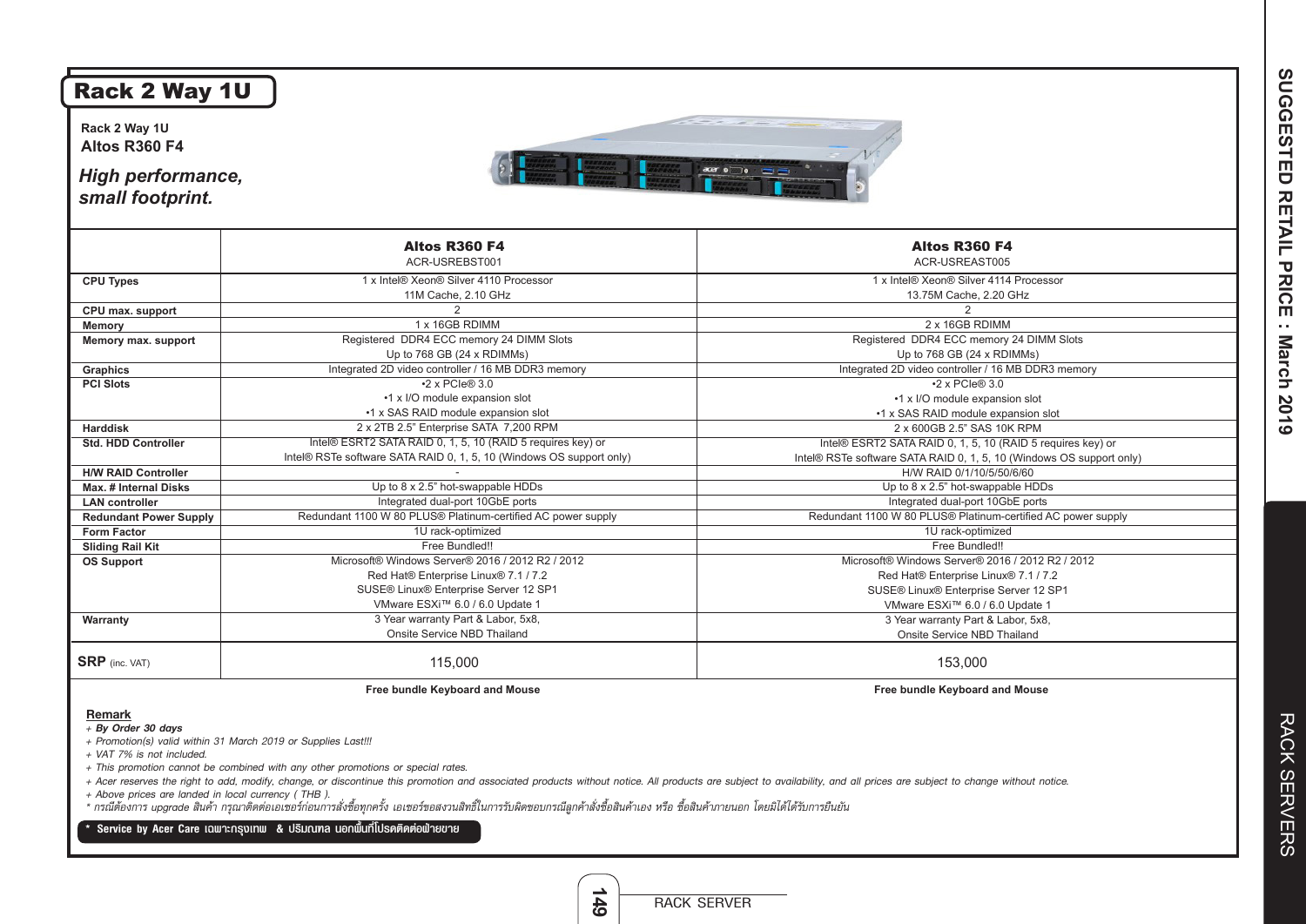### Rack 2 Way 1U

**Rack 2 Way 1U Altos R360 F4**

#### *High performance, small footprint.*



**Free bundle Keyboard and Mouse Free bundle Keyboard and Mouse**

**Remark**

*+ By Order 30 days*

*+ Promotion(s) valid within 31 March 2019 or Supplies Last!!!* 

*+ VAT 7% is not included.*

*+ This promotion cannot be combined with any other promotions or special rates.*

*+ Acer reserves the right to add, modify, change, or discontinue this promotion and associated products without notice. All products are subject to availability, and all prices are subject to change without notice.*

*+ Above prices are landed in local currency ( THB ).*

\* กรณีต้องการ upgrade สินค้า กรณาติดต่อเอเซอร์ก่อนการสั่งซื้อทุกครั้ง เอเซอร์ขอสงวนสิทธิ์ในการรับผิดชอบกรณีลูกค้าสั่งซื้อสินค้าเอง หรือ ซื้อสินค้าภายนอก โดยมิได้ได้รับการยืนยัน<br>\* กรณีต้องการ upgrade สินค้า กรณาติดต่อเอเซอ

**\*** Service by Acer Care เฉพาะกรุงเทพ & ปริมณฑล นอกพื้นที่โปรคติคต่อฟ่ายขาย

**SUGGESTED SUGGESTED RETAIL PRICE : March 2019 RETAIL PRICE**  $\sim$   $\sim$ March 2019

> RACK SERVERS RACK SERVERS

RACK SERVER

**149**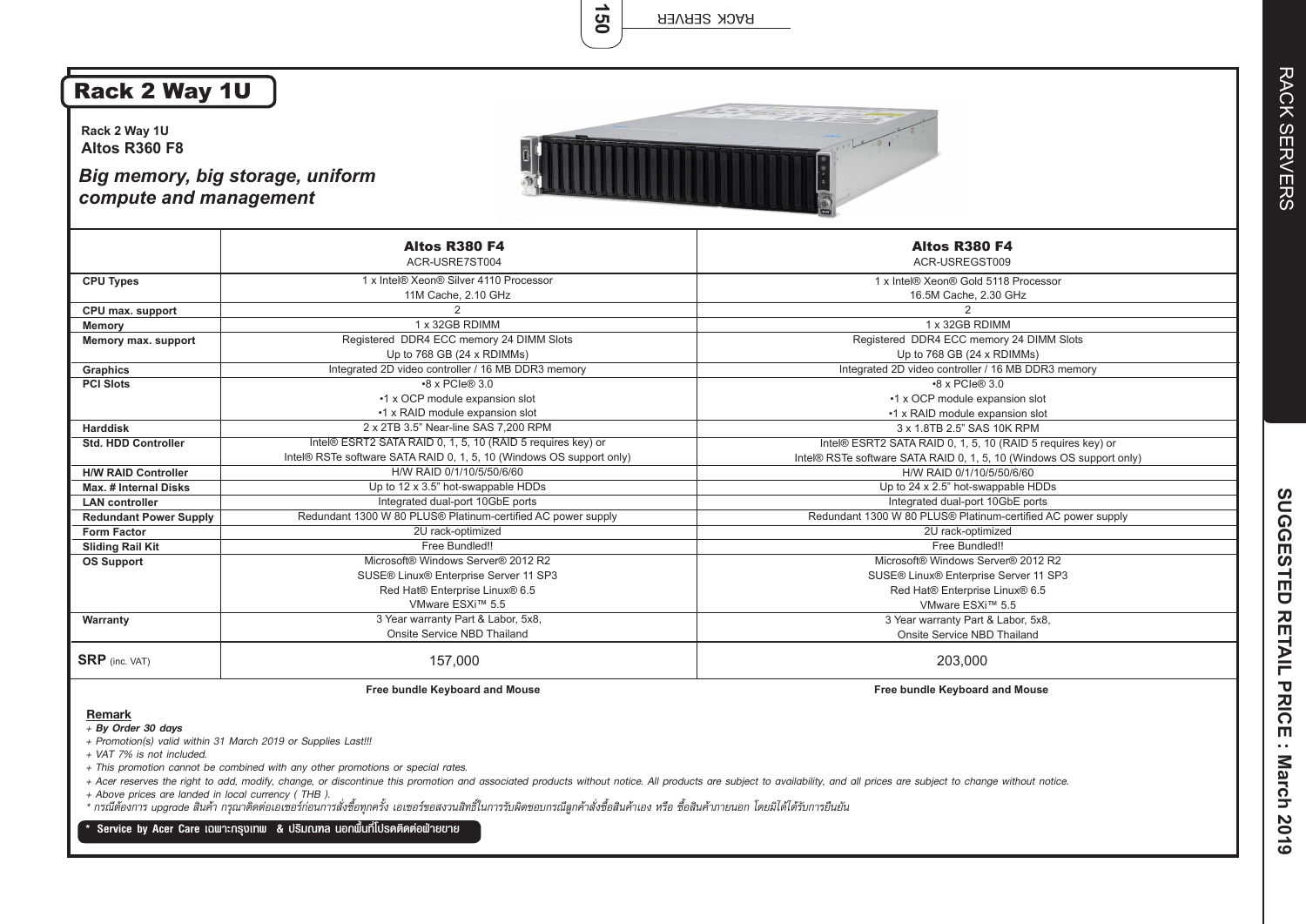RACK SERVER

**150**

## Rack 2 Way 1U

**Rack 2 Way 1U Altos R360 F8**

*Big memory, big storage, uniform compute and management*



|                               | <b>Altos R380 F4</b>                                                 | <b>Altos R380 F4</b>                                                 |  |
|-------------------------------|----------------------------------------------------------------------|----------------------------------------------------------------------|--|
|                               | ACR-USRE7ST004                                                       | ACR-USREGST009                                                       |  |
| <b>CPU Types</b>              | 1 x Intel® Xeon® Silver 4110 Processor                               | 1 x Intel® Xeon® Gold 5118 Processor                                 |  |
|                               | 11M Cache, 2.10 GHz                                                  | 16.5M Cache, 2.30 GHz                                                |  |
| CPU max. support              | $\mathfrak{p}$                                                       | $\mathcal{P}$                                                        |  |
| <b>Memory</b>                 | 1 x 32GB RDIMM                                                       | 1 x 32GB RDIMM                                                       |  |
| Memory max. support           | Registered DDR4 ECC memory 24 DIMM Slots                             | Registered DDR4 ECC memory 24 DIMM Slots                             |  |
|                               | Up to 768 GB (24 x RDIMMs)                                           | Up to 768 GB (24 x RDIMMs)                                           |  |
| <b>Graphics</b>               | Integrated 2D video controller / 16 MB DDR3 memory                   | Integrated 2D video controller / 16 MB DDR3 memory                   |  |
| <b>PCI Slots</b>              | $-8 \times PCIe@3.0$                                                 | $-8 \times PCIe@3.0$                                                 |  |
|                               | •1 x OCP module expansion slot                                       | •1 x OCP module expansion slot                                       |  |
|                               | •1 x RAID module expansion slot                                      | •1 x RAID module expansion slot                                      |  |
| <b>Harddisk</b>               | 2 x 2TB 3.5" Near-line SAS 7,200 RPM                                 | 3 x 1.8TB 2.5" SAS 10K RPM                                           |  |
| <b>Std. HDD Controller</b>    | Intel® ESRT2 SATA RAID 0, 1, 5, 10 (RAID 5 requires key) or          | Intel® ESRT2 SATA RAID 0, 1, 5, 10 (RAID 5 requires key) or          |  |
|                               | Intel® RSTe software SATA RAID 0, 1, 5, 10 (Windows OS support only) | Intel® RSTe software SATA RAID 0, 1, 5, 10 (Windows OS support only) |  |
| <b>H/W RAID Controller</b>    | H/W RAID 0/1/10/5/50/6/60<br>H/W RAID 0/1/10/5/50/6/60               |                                                                      |  |
| <b>Max. # Internal Disks</b>  | Up to 12 x 3.5" hot-swappable HDDs                                   | Up to 24 x 2.5" hot-swappable HDDs                                   |  |
| <b>LAN</b> controller         | Integrated dual-port 10GbE ports                                     | Integrated dual-port 10GbE ports                                     |  |
| <b>Redundant Power Supply</b> | Redundant 1300 W 80 PLUS® Platinum-certified AC power supply         | Redundant 1300 W 80 PLUS® Platinum-certified AC power supply         |  |
| <b>Form Factor</b>            | 2U rack-optimized                                                    | 2U rack-optimized                                                    |  |
| <b>Sliding Rail Kit</b>       | Free Bundled!!                                                       | Free Bundled!!                                                       |  |
| <b>OS Support</b>             | Microsoft® Windows Server® 2012 R2                                   | Microsoft® Windows Server® 2012 R2                                   |  |
|                               | SUSE® Linux® Enterprise Server 11 SP3                                | SUSE® Linux® Enterprise Server 11 SP3                                |  |
|                               | Red Hat® Enterprise Linux® 6.5                                       | Red Hat® Enterprise Linux® 6.5                                       |  |
|                               | VMware ESXi™ 5.5                                                     | VMware ESXi™ 5.5                                                     |  |
| Warranty                      | 3 Year warranty Part & Labor, 5x8,                                   | 3 Year warranty Part & Labor, 5x8,                                   |  |
|                               | Onsite Service NBD Thailand                                          | Onsite Service NBD Thailand                                          |  |
| <b>SRP</b> (inc. VAT)         | 157,000                                                              | 203,000                                                              |  |

**Free bundle Keyboard and Mouse Free bundle Keyboard and Mouse**

**Remark**

*+ By Order 30 days*

*+ Promotion(s) valid within 31 March 2019 or Supplies Last!!!* 

*+ VAT 7% is not included.*

*+ This promotion cannot be combined with any other promotions or special rates.*

*+ Acer reserves the right to add, modify, change, or discontinue this promotion and associated products without notice. All products are subject to availability, and all prices are subject to change without notice.*

*+ Above prices are landed in local currency ( THB ).*

*\* กรณีต้องการ upgrade สินค้า กรุณาติดต่อเอเซอร์ก่อนการสั่งซื้อทุกครั้ง เอเซอร์ขอสงวนสิทธิ์ในการรับผิดชอบกรณีลูกค้าสั่งซื้อสินค้าเอง หรือ ซื้อสินค้าภายนอก โดยมิได้ได้รับการยืนยัน*

#### **\*** Service by Acer Care เฉพาะกรุงเทพ & ปริมณฑล นอกพื้นที่โปรดติดต่อฟ่ายขาย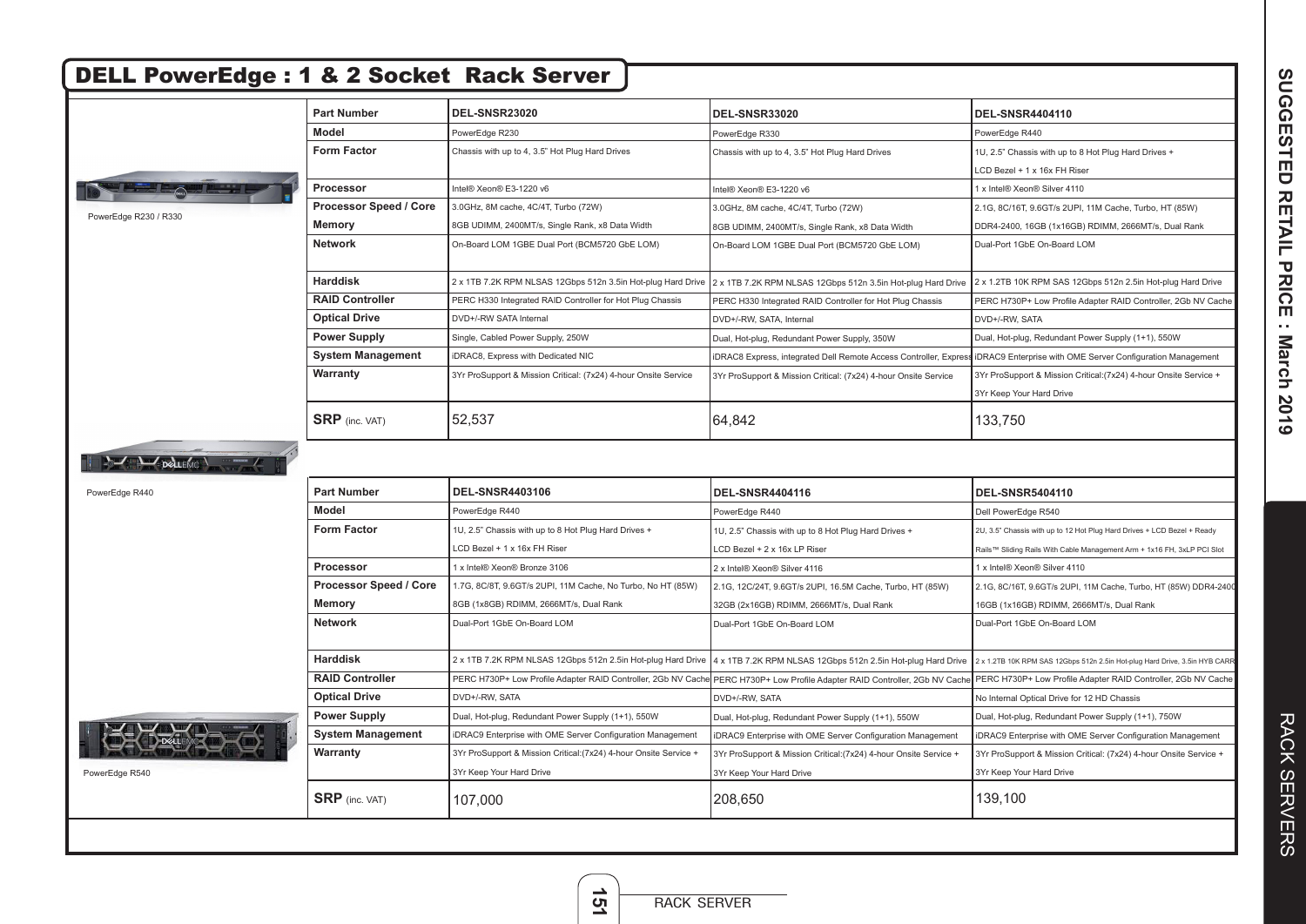| <b>DELL PowerEdge: 1 &amp; 2 Socket Rack Server</b> |                          |                                                                   |                                                                   |                                                                             |
|-----------------------------------------------------|--------------------------|-------------------------------------------------------------------|-------------------------------------------------------------------|-----------------------------------------------------------------------------|
|                                                     | <b>Part Number</b>       | DEL-SNSR23020                                                     | <b>DEL-SNSR33020</b>                                              | <b>DEL-SNSR4404110</b>                                                      |
|                                                     | <b>Model</b>             | PowerEdge R230                                                    | PowerEdge R330                                                    | PowerEdge R440                                                              |
|                                                     | <b>Form Factor</b>       | Chassis with up to 4, 3.5" Hot Plug Hard Drives                   | Chassis with up to 4, 3.5" Hot Plug Hard Drives                   | 1U, 2.5" Chassis with up to 8 Hot Plug Hard Drives +                        |
|                                                     |                          |                                                                   |                                                                   | LCD Bezel + 1 x 16x FH Riser                                                |
|                                                     | Processor                | Intel® Xeon® E3-1220 v6                                           | Intel® Xeon® E3-1220 v6                                           | 1 x Intel® Xeon® Silver 4110                                                |
|                                                     | Processor Speed / Core   | 3.0GHz, 8M cache, 4C/4T, Turbo (72W)                              | 3.0GHz, 8M cache, 4C/4T, Turbo (72W)                              | 2.1G, 8C/16T, 9.6GT/s 2UPI, 11M Cache, Turbo, HT (85W)                      |
| PowerEdge R230 / R330                               | <b>Memory</b>            | 8GB UDIMM, 2400MT/s, Single Rank, x8 Data Width                   | 8GB UDIMM, 2400MT/s, Single Rank, x8 Data Width                   | DDR4-2400, 16GB (1x16GB) RDIMM, 2666MT/s, Dual Rank                         |
|                                                     | <b>Network</b>           | On-Board LOM 1GBE Dual Port (BCM5720 GbE LOM)                     | On-Board LOM 1GBE Dual Port (BCM5720 GbE LOM)                     | Dual-Port 1GbE On-Board LOM                                                 |
|                                                     | <b>Harddisk</b>          | 2 x 1TB 7.2K RPM NLSAS 12Gbps 512n 3.5in Hot-plug Hard Drive      | 2 x 1TB 7.2K RPM NLSAS 12Gbps 512n 3.5in Hot-plug Hard Drive      | 2 x 1.2TB 10K RPM SAS 12Gbps 512n 2.5in Hot-plug Hard Drive                 |
|                                                     | <b>RAID Controller</b>   | PERC H330 Integrated RAID Controller for Hot Plug Chassis         | PERC H330 Integrated RAID Controller for Hot Plug Chassis         | PERC H730P+ Low Profile Adapter RAID Controller, 2Gb NV Cache               |
|                                                     | <b>Optical Drive</b>     | DVD+/-RW SATA Internal                                            | DVD+/-RW, SATA, Internal                                          | DVD+/-RW, SATA                                                              |
|                                                     | <b>Power Supply</b>      | Single, Cabled Power Supply, 250W                                 | Dual, Hot-plug, Redundant Power Supply, 350W                      | Dual, Hot-plug, Redundant Power Supply (1+1), 550W                          |
|                                                     | <b>System Management</b> | iDRAC8, Express with Dedicated NIC                                | iDRAC8 Express, integrated Dell Remote Access Controller, Expre   | iDRAC9 Enterprise with OME Server Configuration Management                  |
|                                                     | Warranty                 | 3Yr ProSupport & Mission Critical: (7x24) 4-hour Onsite Service   | 3Yr ProSupport & Mission Critical: (7x24) 4-hour Onsite Service   | 3Yr ProSupport & Mission Critical: (7x24) 4-hour Onsite Service +           |
|                                                     |                          |                                                                   |                                                                   | 3Yr Keep Your Hard Drive                                                    |
|                                                     | <b>SRP</b> (inc. VAT)    | 52.537                                                            | 64,842                                                            | 133.750                                                                     |
| $\sqrt{\frac{1}{2}}$ DellFMON                       |                          |                                                                   |                                                                   |                                                                             |
| PowerEdge R440                                      | <b>Part Number</b>       | <b>DEL-SNSR4403106</b>                                            | <b>DEL-SNSR4404116</b>                                            | <b>DEL-SNSR5404110</b>                                                      |
|                                                     | Model                    | PowerEdge R440                                                    | PowerEdge R440                                                    | Dell PowerEdge R540                                                         |
|                                                     | <b>Form Factor</b>       | 1U, 2.5" Chassis with up to 8 Hot Plug Hard Drives +              | 1U, 2.5" Chassis with up to 8 Hot Plug Hard Drives +              | 2U, 3.5" Chassis with up to 12 Hot Plug Hard Drives + LCD Bezel + Ready     |
|                                                     |                          | LCD Bezel + 1 x 16x FH Riser                                      | LCD Bezel + 2 x 16x LP Riser                                      | Rails™ Sliding Rails With Cable Management Arm + 1x16 FH, 3xLP PCI Slot     |
|                                                     | Processor                | 1 x Intel® Xeon® Bronze 3106                                      | 2 x Intel® Xeon® Silver 4116                                      | 1 x Intel® Xeon® Silver 4110                                                |
|                                                     | Processor Speed / Core   | 1.7G, 8C/8T, 9.6GT/s 2UPI, 11M Cache, No Turbo, No HT (85W)       | 2.1G, 12C/24T, 9.6GT/s 2UPI, 16.5M Cache, Turbo, HT (85W)         | 2.1G, 8C/16T, 9.6GT/s 2UPI, 11M Cache, Turbo, HT (85W) DDR4-2400            |
|                                                     | Memory                   | 8GB (1x8GB) RDIMM, 2666MT/s, Dual Rank                            | 32GB (2x16GB) RDIMM, 2666MT/s, Dual Rank                          | 16GB (1x16GB) RDIMM, 2666MT/s, Dual Rank                                    |
|                                                     | <b>Network</b>           | Dual-Port 1GbE On-Board LOM                                       | Dual-Port 1GbE On-Board LOM                                       | Dual-Port 1GbE On-Board LOM                                                 |
|                                                     | <b>Harddisk</b>          | 2 x 1TB 7.2K RPM NLSAS 12Gbps 512n 2.5in Hot-plug Hard Drive      | 4 x 1TB 7.2K RPM NLSAS 12Gbps 512n 2.5in Hot-plug Hard Drive      | 2 x 1.2TB 10K RPM SAS 12Gbps 512n 2.5in Hot-plug Hard Drive, 3.5in HYB CARF |
|                                                     | <b>RAID Controller</b>   | PERC H730P+ Low Profile Adapter RAID Controller, 2Gb NV Cache     | PERC H730P+ Low Profile Adapter RAID Controller, 2Gb NV Cach      | PERC H730P+ Low Profile Adapter RAID Controller, 2Gb NV Cache               |
|                                                     | <b>Optical Drive</b>     | DVD+/-RW, SATA                                                    | DVD+/-RW, SATA                                                    | No Internal Optical Drive for 12 HD Chassis                                 |
|                                                     | <b>Power Supply</b>      | Dual, Hot-plug, Redundant Power Supply (1+1), 550W                | Dual, Hot-plug, Redundant Power Supply (1+1), 550W                | Dual, Hot-plug, Redundant Power Supply (1+1), 750W                          |
|                                                     | <b>System Management</b> | iDRAC9 Enterprise with OME Server Configuration Management        | <b>iDRAC9</b> Enterprise with OME Server Configuration Management | <b>IDRAC9</b> Enterprise with OME Server Configuration Management           |
|                                                     | Warranty                 | 3Yr ProSupport & Mission Critical: (7x24) 4-hour Onsite Service + | 3Yr ProSupport & Mission Critical: (7x24) 4-hour Onsite Service + | 3Yr ProSupport & Mission Critical: (7x24) 4-hour Onsite Service +           |
| PowerEdge R540                                      |                          | 3Yr Keep Your Hard Drive                                          | 3Yr Keep Your Hard Drive                                          | 3Yr Keep Your Hard Drive                                                    |
|                                                     | <b>SRP</b> (inc. VAT)    | 107,000                                                           | 208,650                                                           | 139,100                                                                     |
|                                                     |                          |                                                                   |                                                                   |                                                                             |

**151**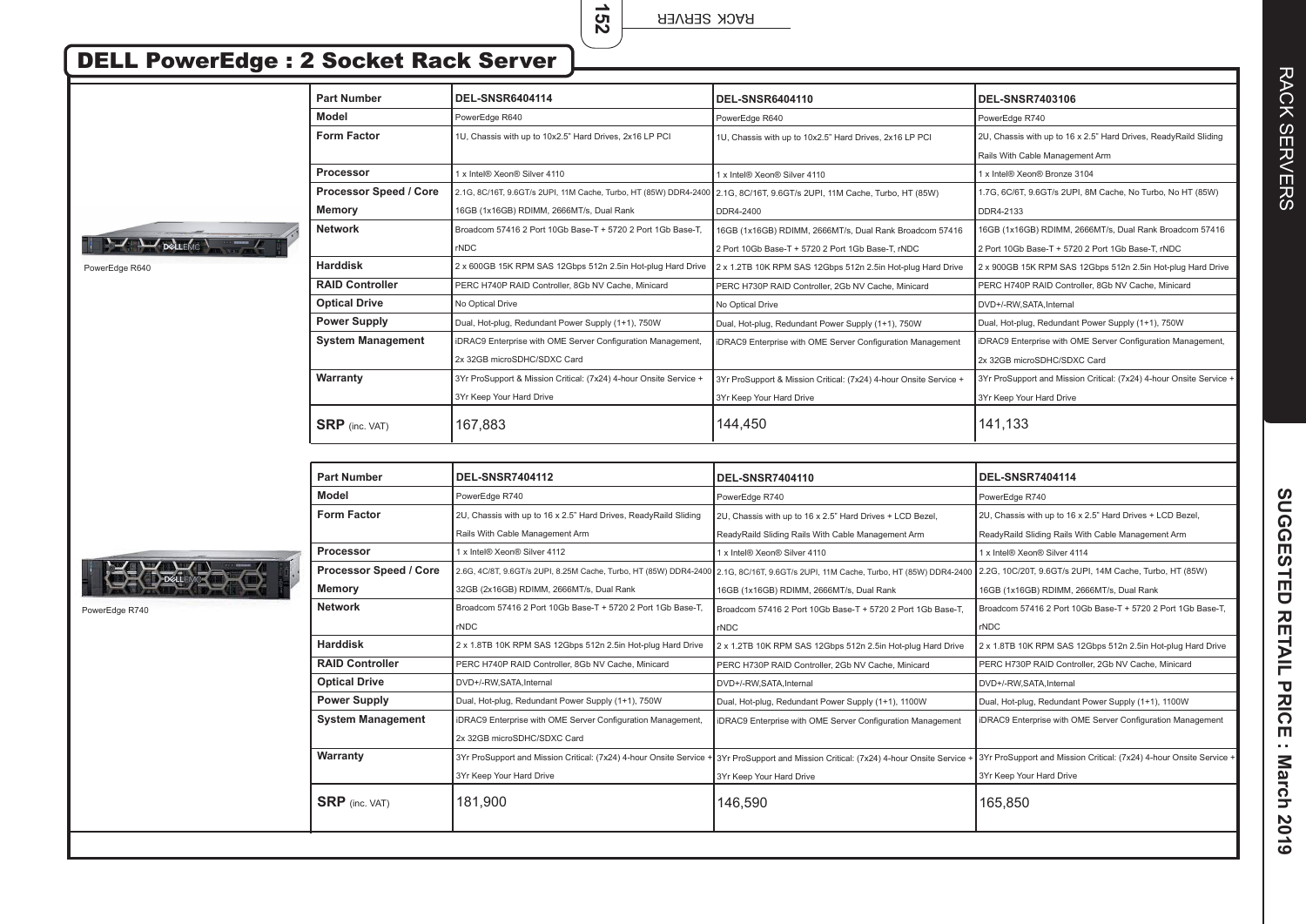**152**

|                     | <b>Part Number</b>       | <b>DEL-SNSR6404114</b>                                                                                                  | <b>DEL-SNSR6404110</b>                                                                                                             | <b>DEL-SNSR7403106</b>                                                                          |
|---------------------|--------------------------|-------------------------------------------------------------------------------------------------------------------------|------------------------------------------------------------------------------------------------------------------------------------|-------------------------------------------------------------------------------------------------|
|                     | <b>Model</b>             | PowerEdge R640                                                                                                          | PowerEdge R640                                                                                                                     | PowerEdge R740                                                                                  |
|                     | <b>Form Factor</b>       | 1U, Chassis with up to 10x2.5" Hard Drives, 2x16 LP PCI                                                                 | 1U, Chassis with up to 10x2.5" Hard Drives, 2x16 LP PCI                                                                            | 2U, Chassis with up to 16 x 2.5" Hard Drives, ReadyRaild Sliding                                |
|                     |                          |                                                                                                                         |                                                                                                                                    | Rails With Cable Management Arm                                                                 |
|                     | Processor                | 1 x Intel® Xeon® Silver 4110                                                                                            | 1 x Intel® Xeon® Silver 4110                                                                                                       | 1 x Intel® Xeon® Bronze 3104                                                                    |
|                     | Processor Speed / Core   | 2.1G, 8C/16T, 9.6GT/s 2UPI, 11M Cache, Turbo, HT (85W) DDR4-2400 2.1G, 8C/16T, 9.6GT/s 2UPI, 11M Cache, Turbo, HT (85W) |                                                                                                                                    | 1.7G, 6C/6T, 9.6GT/s 2UPI, 8M Cache, No Turbo, No HT (85W)                                      |
|                     | <b>Memory</b>            | 16GB (1x16GB) RDIMM, 2666MT/s, Dual Rank                                                                                | DDR4-2400                                                                                                                          | DDR4-2133                                                                                       |
|                     | <b>Network</b>           | Broadcom 57416 2 Port 10Gb Base-T + 5720 2 Port 1Gb Base-T,                                                             | 16GB (1x16GB) RDIMM, 2666MT/s, Dual Rank Broadcom 57416                                                                            | 16GB (1x16GB) RDIMM, 2666MT/s, Dual Rank Broadcom 57416                                         |
| <b>MAY DELLEMON</b> |                          | rNDC                                                                                                                    | 2 Port 10Gb Base-T + 5720 2 Port 1Gb Base-T, rNDC                                                                                  | 2 Port 10Gb Base-T + 5720 2 Port 1Gb Base-T, rNDC                                               |
| PowerEdge R640      | <b>Harddisk</b>          | 2 x 600GB 15K RPM SAS 12Gbps 512n 2.5in Hot-plug Hard Drive                                                             | 2 x 1.2TB 10K RPM SAS 12Gbps 512n 2.5in Hot-plug Hard Drive                                                                        | 2 x 900GB 15K RPM SAS 12Gbps 512n 2.5in Hot-plug Hard Drive                                     |
|                     | <b>RAID Controller</b>   | PERC H740P RAID Controller, 8Gb NV Cache, Minicard                                                                      | PERC H730P RAID Controller, 2Gb NV Cache, Minicard                                                                                 | PERC H740P RAID Controller, 8Gb NV Cache, Minicard                                              |
|                     | <b>Optical Drive</b>     | No Optical Drive                                                                                                        | No Optical Drive                                                                                                                   | DVD+/-RW,SATA,Internal                                                                          |
|                     | <b>Power Supply</b>      | Dual, Hot-plug, Redundant Power Supply (1+1), 750W                                                                      | Dual, Hot-plug, Redundant Power Supply (1+1), 750W                                                                                 | Dual, Hot-plug, Redundant Power Supply (1+1), 750W                                              |
|                     | <b>System Management</b> | iDRAC9 Enterprise with OME Server Configuration Management,                                                             | iDRAC9 Enterprise with OME Server Configuration Management                                                                         | iDRAC9 Enterprise with OME Server Configuration Management,                                     |
|                     |                          | 2x 32GB microSDHC/SDXC Card                                                                                             |                                                                                                                                    | 2x 32GB microSDHC/SDXC Card                                                                     |
|                     | Warranty                 | 3Yr ProSupport & Mission Critical: (7x24) 4-hour Onsite Service +                                                       | 3Yr ProSupport & Mission Critical: (7x24) 4-hour Onsite Service +                                                                  | 3Yr ProSupport and Mission Critical: (7x24) 4-hour Onsite Service +                             |
|                     |                          | 3Yr Keep Your Hard Drive                                                                                                | 3Yr Keep Your Hard Drive                                                                                                           | 3Yr Keep Your Hard Drive                                                                        |
|                     | <b>SRP</b> (inc. VAT)    | 167,883                                                                                                                 | 144,450                                                                                                                            | 141.133                                                                                         |
|                     | <b>Part Number</b>       | <b>DEL-SNSR7404112</b>                                                                                                  | <b>DEL-SNSR7404110</b>                                                                                                             | <b>DEL-SNSR7404114</b>                                                                          |
|                     | Model                    | PowerEdge R740                                                                                                          | PowerEdge R740                                                                                                                     | PowerEdge R740                                                                                  |
|                     | <b>Form Factor</b>       | 2U, Chassis with up to 16 x 2.5" Hard Drives, ReadyRaild Sliding                                                        | 2U, Chassis with up to 16 x 2.5" Hard Drives + LCD Bezel,                                                                          | 2U, Chassis with up to 16 x 2.5" Hard Drives + LCD Bezel,                                       |
|                     |                          | Rails With Cable Management Arm                                                                                         | ReadyRaild Sliding Rails With Cable Management Arm                                                                                 | ReadyRaild Sliding Rails With Cable Management Arm                                              |
|                     | Processor                | 1 x Intel® Xeon® Silver 4112                                                                                            | 1 x Intel® Xeon® Silver 4110                                                                                                       | 1 x Intel® Xeon® Silver 4114                                                                    |
|                     | Processor Speed / Core   |                                                                                                                         | 2.6G, 4C/8T, 9.6GT/s 2UPI, 8.25M Cache, Turbo, HT (85W) DDR4-2400 2.1G, 8C/16T, 9.6GT/s 2UPI, 11M Cache, Turbo, HT (85W) DDR4-2400 | 2.2G, 10C/20T, 9.6GT/s 2UPI, 14M Cache, Turbo, HT (85W)                                         |
|                     | <b>Memory</b>            | 32GB (2x16GB) RDIMM, 2666MT/s, Dual Rank                                                                                | 16GB (1x16GB) RDIMM, 2666MT/s, Dual Rank                                                                                           | 16GB (1x16GB) RDIMM, 2666MT/s, Dual Rank                                                        |
| PowerEdge R740      | <b>Network</b>           | Broadcom 57416 2 Port 10Gb Base-T + 5720 2 Port 1Gb Base-T,                                                             | Broadcom 57416 2 Port 10Gb Base-T + 5720 2 Port 1Gb Base-T,                                                                        | Broadcom 57416 2 Port 10Gb Base-T + 5720 2 Port 1Gb Base-T,                                     |
|                     |                          | <b>rNDC</b>                                                                                                             | rNDC                                                                                                                               | rNDC                                                                                            |
|                     | <b>Harddisk</b>          | 2 x 1.8TB 10K RPM SAS 12Gbps 512n 2.5in Hot-plug Hard Drive                                                             | 2 x 1.2TB 10K RPM SAS 12Gbps 512n 2.5in Hot-plug Hard Drive                                                                        | 2 x 1.8TB 10K RPM SAS 12Gbps 512n 2.5in Hot-plug Hard Drive                                     |
|                     | <b>RAID Controller</b>   | PERC H740P RAID Controller, 8Gb NV Cache, Minicard                                                                      | PERC H730P RAID Controller, 2Gb NV Cache, Minicard                                                                                 | PERC H730P RAID Controller, 2Gb NV Cache, Minicard                                              |
|                     | <b>Optical Drive</b>     | DVD+/-RW,SATA,Internal                                                                                                  | DVD+/-RW,SATA,Internal                                                                                                             | DVD+/-RW,SATA,Internal                                                                          |
|                     | <b>Power Supply</b>      | Dual, Hot-plug, Redundant Power Supply (1+1), 750W                                                                      | Dual, Hot-plug, Redundant Power Supply (1+1), 1100W                                                                                | Dual, Hot-plug, Redundant Power Supply (1+1), 1100W                                             |
|                     | <b>System Management</b> | iDRAC9 Enterprise with OME Server Configuration Management,<br>2x 32GB microSDHC/SDXC Card                              | iDRAC9 Enterprise with OME Server Configuration Management                                                                         | iDRAC9 Enterprise with OME Server Configuration Management                                      |
|                     | Warranty                 | 3Yr ProSupport and Mission Critical: (7x24) 4-hour Onsite Service .<br>3Yr Keep Your Hard Drive                         | 3Yr ProSupport and Mission Critical: (7x24) 4-hour Onsite Service<br>3Yr Keep Your Hard Drive                                      | 3Yr ProSupport and Mission Critical: (7x24) 4-hour Onsite Service -<br>3Yr Keep Your Hard Drive |
|                     | <b>SRP</b> (inc. VAT)    | 181.900                                                                                                                 | 146,590                                                                                                                            | 165,850                                                                                         |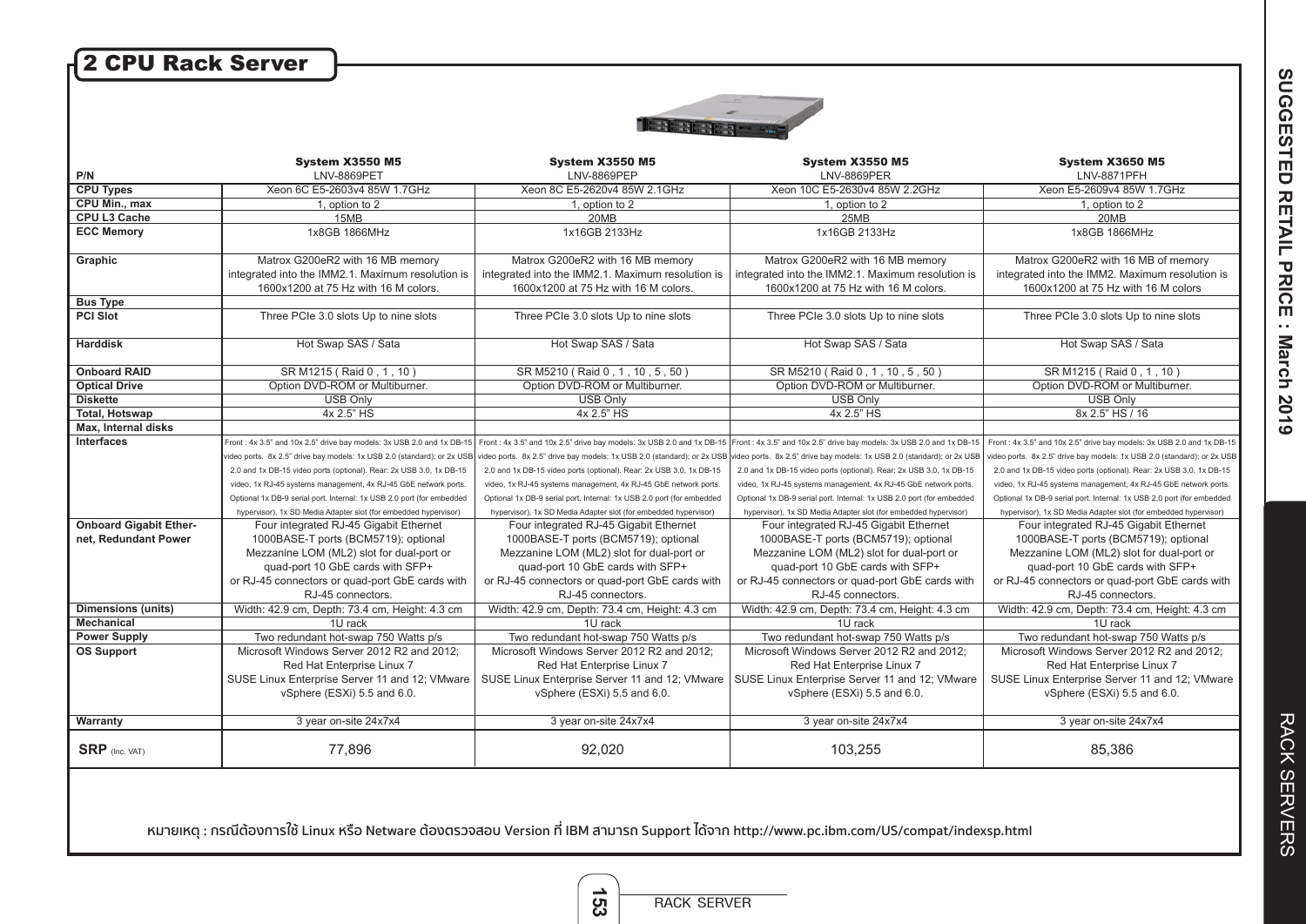# 2 CPU Rack Server



| P/N                           | <b>System X3550 M5</b><br>LNV-8869PET                                                                                         | <b>System X3550 M5</b><br><b>LNV-8869PEP</b>                                                                                  | <b>System X3550 M5</b><br>LNV-8869PER                                                                                                       | <b>System X3650 M5</b><br>LNV-8871PFH                                                                                         |
|-------------------------------|-------------------------------------------------------------------------------------------------------------------------------|-------------------------------------------------------------------------------------------------------------------------------|---------------------------------------------------------------------------------------------------------------------------------------------|-------------------------------------------------------------------------------------------------------------------------------|
| <b>CPU Types</b>              | Xeon 6C E5-2603v4 85W 1.7GHz                                                                                                  | Xeon 8C E5-2620v4 85W 2.1GHz                                                                                                  | Xeon 10C E5-2630v4 85W 2.2GHz                                                                                                               | Xeon E5-2609v4 85W 1.7GHz                                                                                                     |
| CPU Min., max                 | 1, option to 2                                                                                                                | 1, option to 2                                                                                                                | 1, option to 2                                                                                                                              | 1, option to 2                                                                                                                |
| <b>CPU L3 Cache</b>           | 15MB                                                                                                                          | 20MB                                                                                                                          | 25MB                                                                                                                                        | 20MB                                                                                                                          |
| <b>ECC Memory</b>             | 1x8GB 1866MHz                                                                                                                 | 1x16GB 2133Hz                                                                                                                 | 1x16GB 2133Hz                                                                                                                               | 1x8GB 1866MHz                                                                                                                 |
| Graphic                       | Matrox G200eR2 with 16 MB memory<br>integrated into the IMM2.1. Maximum resolution is<br>1600x1200 at 75 Hz with 16 M colors. | Matrox G200eR2 with 16 MB memory<br>integrated into the IMM2.1. Maximum resolution is<br>1600x1200 at 75 Hz with 16 M colors. | Matrox G200eR2 with 16 MB memory<br>integrated into the IMM2.1. Maximum resolution is<br>1600x1200 at 75 Hz with 16 M colors.               | Matrox G200eR2 with 16 MB of memory<br>integrated into the IMM2. Maximum resolution is<br>1600x1200 at 75 Hz with 16 M colors |
| <b>Bus Type</b>               |                                                                                                                               |                                                                                                                               |                                                                                                                                             |                                                                                                                               |
| <b>PCI Slot</b>               | Three PCIe 3.0 slots Up to nine slots                                                                                         | Three PCIe 3.0 slots Up to nine slots                                                                                         | Three PCIe 3.0 slots Up to nine slots                                                                                                       | Three PCIe 3.0 slots Up to nine slots                                                                                         |
| <b>Harddisk</b>               | Hot Swap SAS / Sata                                                                                                           | Hot Swap SAS / Sata                                                                                                           | Hot Swap SAS / Sata                                                                                                                         | Hot Swap SAS / Sata                                                                                                           |
| <b>Onboard RAID</b>           | SR M1215 (Raid 0, 1, 10)                                                                                                      | SR M5210 (Raid 0, 1, 10, 5, 50)                                                                                               | SR M5210 (Raid 0, 1, 10, 5, 50)                                                                                                             | SR M1215 (Raid 0, 1, 10)                                                                                                      |
| <b>Optical Drive</b>          | Option DVD-ROM or Multiburner.                                                                                                | Option DVD-ROM or Multiburner.                                                                                                | Option DVD-ROM or Multiburner.                                                                                                              | Option DVD-ROM or Multiburner.                                                                                                |
| <b>Diskette</b>               | <b>USB Only</b>                                                                                                               | <b>USB Only</b>                                                                                                               | <b>USB Only</b>                                                                                                                             | <b>USB Only</b>                                                                                                               |
| <b>Total, Hotswap</b>         | 4x 2.5" HS                                                                                                                    | 4x 2.5" HS                                                                                                                    | 4x 2.5" HS                                                                                                                                  | 8x 2.5" HS / 16                                                                                                               |
| Max, Internal disks           |                                                                                                                               |                                                                                                                               |                                                                                                                                             |                                                                                                                               |
| <b>Interfaces</b>             | Front: 4x 3.5" and 10x 2.5" drive bay models: 3x USB 2.0 and 1x DB-15                                                         |                                                                                                                               | Front: 4x 3.5" and 10x 2.5" drive bay models: 3x USB 2.0 and 1x DB-15 Front: 4x 3.5" and 10x 2.5" drive bay models: 3x USB 2.0 and 1x DB-15 | Front: 4x 3.5" and 10x 2.5" drive bay models: 3x USB 2.0 and 1x DB-15                                                         |
|                               | video ports. 8x 2.5" drive bay models: 1x USB 2.0 (standard); or 2x USB                                                       | video ports. 8x 2.5" drive bay models: 1x USB 2.0 (standard); or 2x USB                                                       | video ports. 8x 2.5" drive bay models: 1x USB 2.0 (standard); or 2x USB                                                                     | video ports. 8x 2.5" drive bay models: 1x USB 2.0 (standard); or 2x USB                                                       |
|                               | 2.0 and 1x DB-15 video ports (optional). Rear: 2x USB 3.0, 1x DB-15                                                           | 2.0 and 1x DB-15 video ports (optional). Rear: 2x USB 3.0, 1x DB-15                                                           | 2.0 and 1x DB-15 video ports (optional). Rear: 2x USB 3.0, 1x DB-15                                                                         | 2.0 and 1x DB-15 video ports (optional). Rear: 2x USB 3.0, 1x DB-15                                                           |
|                               | video, 1x RJ-45 systems management, 4x RJ-45 GbE network ports.                                                               | video, 1x RJ-45 systems management, 4x RJ-45 GbE network ports.                                                               | video, 1x RJ-45 systems management, 4x RJ-45 GbE network ports.                                                                             | video, 1x RJ-45 systems management, 4x RJ-45 GbE network ports.                                                               |
|                               | Optional 1x DB-9 serial port. Internal: 1x USB 2.0 port (for embedded                                                         | Optional 1x DB-9 serial port. Internal: 1x USB 2.0 port (for embedded                                                         | Optional 1x DB-9 serial port. Internal: 1x USB 2.0 port (for embedded                                                                       | Optional 1x DB-9 serial port. Internal: 1x USB 2.0 port (for embedded                                                         |
|                               | hypervisor), 1x SD Media Adapter slot (for embedded hypervisor)                                                               | hypervisor), 1x SD Media Adapter slot (for embedded hypervisor)                                                               | hypervisor), 1x SD Media Adapter slot (for embedded hypervisor)                                                                             | hypervisor), 1x SD Media Adapter slot (for embedded hypervisor)                                                               |
| <b>Onboard Gigabit Ether-</b> | Four integrated RJ-45 Gigabit Ethernet                                                                                        | Four integrated RJ-45 Gigabit Ethernet                                                                                        | Four integrated RJ-45 Gigabit Ethernet                                                                                                      | Four integrated RJ-45 Gigabit Ethernet                                                                                        |
| net. Redundant Power          | 1000BASE-T ports (BCM5719); optional                                                                                          | 1000BASE-T ports (BCM5719); optional                                                                                          | 1000BASE-T ports (BCM5719); optional                                                                                                        | 1000BASE-T ports (BCM5719); optional                                                                                          |
|                               | Mezzanine LOM (ML2) slot for dual-port or                                                                                     | Mezzanine LOM (ML2) slot for dual-port or                                                                                     | Mezzanine LOM (ML2) slot for dual-port or                                                                                                   | Mezzanine LOM (ML2) slot for dual-port or                                                                                     |
|                               | quad-port 10 GbE cards with SFP+                                                                                              | quad-port 10 GbE cards with SFP+                                                                                              | quad-port 10 GbE cards with SFP+                                                                                                            | quad-port 10 GbE cards with SFP+                                                                                              |
|                               | or RJ-45 connectors or quad-port GbE cards with                                                                               | or RJ-45 connectors or quad-port GbE cards with                                                                               | or RJ-45 connectors or quad-port GbE cards with                                                                                             | or RJ-45 connectors or quad-port GbE cards with                                                                               |
|                               | RJ-45 connectors.                                                                                                             | RJ-45 connectors.                                                                                                             | RJ-45 connectors.                                                                                                                           | RJ-45 connectors.                                                                                                             |
| <b>Dimensions (units)</b>     | Width: 42.9 cm, Depth: 73.4 cm, Height: 4.3 cm                                                                                | Width: 42.9 cm, Depth: 73.4 cm, Height: 4.3 cm                                                                                | Width: 42.9 cm, Depth: 73.4 cm, Height: 4.3 cm                                                                                              | Width: 42.9 cm, Depth: 73.4 cm, Height: 4.3 cm                                                                                |
| <b>Mechanical</b>             | 1U rack                                                                                                                       | 1U rack                                                                                                                       | 1U rack                                                                                                                                     | 1U rack                                                                                                                       |
| <b>Power Supply</b>           | Two redundant hot-swap 750 Watts p/s                                                                                          | Two redundant hot-swap 750 Watts p/s                                                                                          | Two redundant hot-swap 750 Watts p/s                                                                                                        | Two redundant hot-swap 750 Watts p/s                                                                                          |
| <b>OS Support</b>             | Microsoft Windows Server 2012 R2 and 2012;                                                                                    | Microsoft Windows Server 2012 R2 and 2012;                                                                                    | Microsoft Windows Server 2012 R2 and 2012;                                                                                                  | Microsoft Windows Server 2012 R2 and 2012;                                                                                    |
|                               | Red Hat Enterprise Linux 7                                                                                                    | Red Hat Enterprise Linux 7                                                                                                    | Red Hat Enterprise Linux 7                                                                                                                  | Red Hat Enterprise Linux 7                                                                                                    |
|                               | SUSE Linux Enterprise Server 11 and 12; VMware<br>vSphere (ESXi) 5.5 and 6.0.                                                 | vSphere (ESXi) 5.5 and 6.0.                                                                                                   | SUSE Linux Enterprise Server 11 and 12; VMware   SUSE Linux Enterprise Server 11 and 12; VMware<br>vSphere (ESXi) 5.5 and 6.0.              | SUSE Linux Enterprise Server 11 and 12; VMware<br>vSphere (ESXi) 5.5 and 6.0.                                                 |
| Warranty                      | 3 year on-site 24x7x4                                                                                                         | 3 year on-site 24x7x4                                                                                                         | 3 year on-site 24x7x4                                                                                                                       | 3 year on-site 24x7x4                                                                                                         |
| <b>SRP</b> (Inc. VAT)         | 77.896                                                                                                                        | 92.020                                                                                                                        | 103,255                                                                                                                                     | 85.386                                                                                                                        |

**หมายเหตุ : กรณีต้องการใช้ Linux หรือ Netware ต้องตรวจสอบ Version ที่ IBM สามารถ Support ได้จาก http://www.pc.ibm.com/US/compat/indexsp.html** 

**153**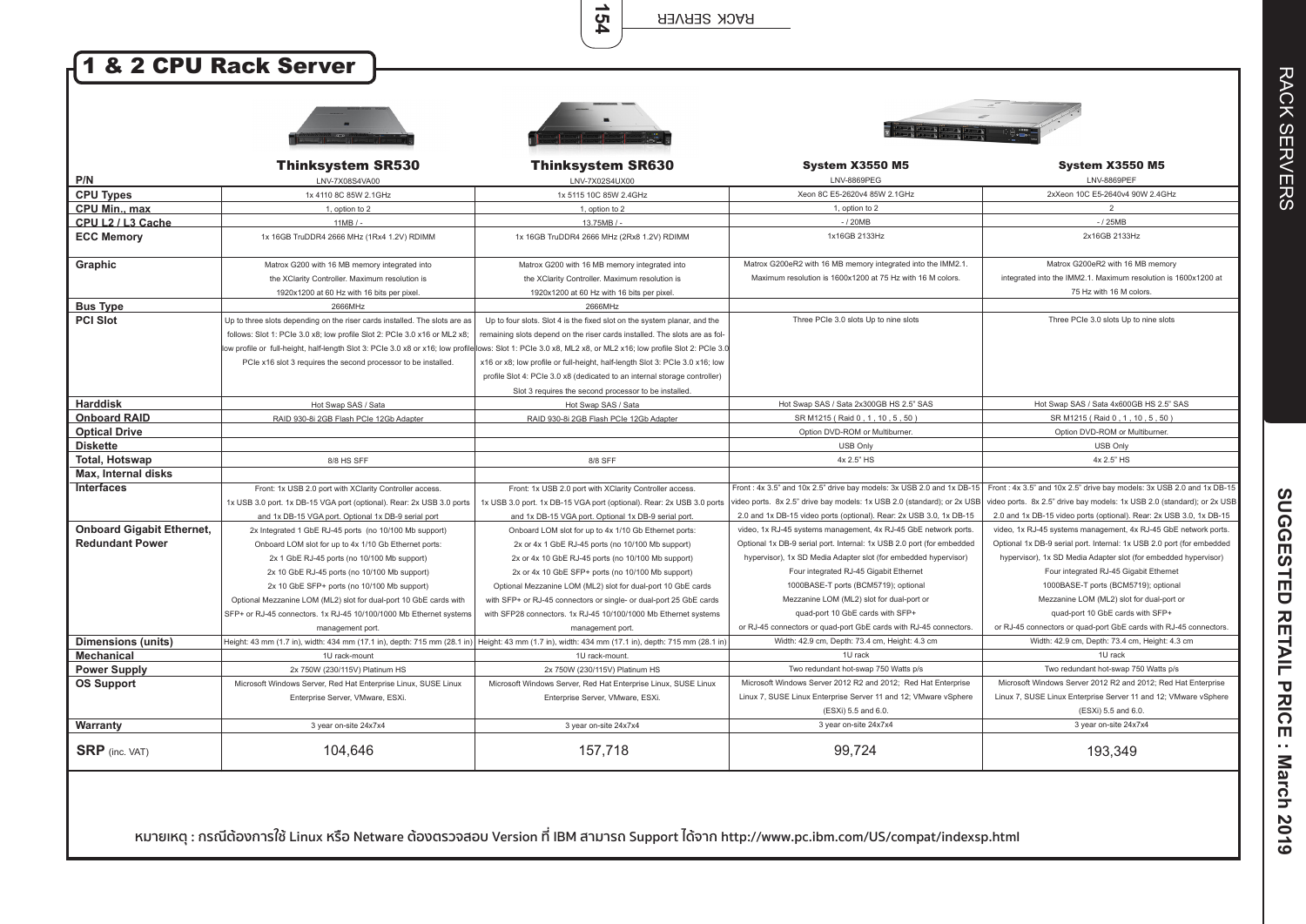

1 & 2 CPU Rack Server



|                                  |                                                                            | $\mathbb{E} = \mathbb{E} = \mathbb{E} = \mathbb{E}$                                                                                                         | and a property for the property of                                      |                                                                         |
|----------------------------------|----------------------------------------------------------------------------|-------------------------------------------------------------------------------------------------------------------------------------------------------------|-------------------------------------------------------------------------|-------------------------------------------------------------------------|
| P/N                              | <b>Thinksystem SR530</b><br>LNV-7X08S4VA00                                 | <b>Thinksystem SR630</b><br>LNV-7X02S4UX00                                                                                                                  | <b>System X3550 M5</b><br><b>LNV-8869PEG</b>                            | <b>System X3550 M5</b><br><b>LNV-8869PEF</b>                            |
| <b>CPU Types</b>                 | 1x 4110 8C 85W 2.1GHz                                                      | 1x 5115 10C 85W 2.4GHz                                                                                                                                      | Xeon 8C E5-2620v4 85W 2.1GHz                                            | 2xXeon 10C E5-2640v4 90W 2.4GHz                                         |
| <b>CPU Min., max</b>             | 1, option to 2                                                             | 1, option to 2                                                                                                                                              | 1, option to 2                                                          | 2                                                                       |
| CPU L2 / L3 Cache                | 11MB/                                                                      | 13.75MB/                                                                                                                                                    | $-$ / 20MB                                                              | $-$ / 25MB                                                              |
| <b>ECC Memory</b>                | 1x 16GB TruDDR4 2666 MHz (1Rx4 1.2V) RDIMM                                 | 1x 16GB TruDDR4 2666 MHz (2Rx8 1.2V) RDIMM                                                                                                                  | 1x16GB 2133Hz                                                           | 2x16GB 2133Hz                                                           |
| Graphic                          | Matrox G200 with 16 MB memory integrated into                              | Matrox G200 with 16 MB memory integrated into                                                                                                               | Matrox G200eR2 with 16 MB memory integrated into the IMM2.1.            | Matrox G200eR2 with 16 MB memory                                        |
|                                  | the XClarity Controller. Maximum resolution is                             | the XClarity Controller. Maximum resolution is                                                                                                              | Maximum resolution is 1600x1200 at 75 Hz with 16 M colors.              | integrated into the IMM2.1. Maximum resolution is 1600x1200 at          |
|                                  | 1920x1200 at 60 Hz with 16 bits per pixel.                                 | 1920x1200 at 60 Hz with 16 bits per pixel.                                                                                                                  |                                                                         | 75 Hz with 16 M colors.                                                 |
| <b>Bus Type</b>                  | 2666MHz                                                                    | 2666MHz                                                                                                                                                     |                                                                         |                                                                         |
| <b>PCI Slot</b>                  | Up to three slots depending on the riser cards installed. The slots are as | Up to four slots. Slot 4 is the fixed slot on the system planar, and the                                                                                    | Three PCIe 3.0 slots Up to nine slots                                   | Three PCIe 3.0 slots Up to nine slots                                   |
|                                  | follows: Slot 1: PCIe 3.0 x8; low profile Slot 2: PCIe 3.0 x16 or ML2 x8;  | remaining slots depend on the riser cards installed. The slots are as fol-                                                                                  |                                                                         |                                                                         |
|                                  |                                                                            | low profile or full-height, half-length Slot 3: PCIe 3.0 x8 or x16; low profile lows: Slot 1: PCIe 3.0 x8, ML2 x8, or ML2 x16; low profile Slot 2: PCIe 3.0 |                                                                         |                                                                         |
|                                  | PCIe x16 slot 3 requires the second processor to be installed.             | x16 or x8; low profile or full-height, half-length Slot 3: PCle 3.0 x16; low                                                                                |                                                                         |                                                                         |
|                                  |                                                                            | profile Slot 4: PCle 3.0 x8 (dedicated to an internal storage controller)                                                                                   |                                                                         |                                                                         |
|                                  |                                                                            | Slot 3 requires the second processor to be installed                                                                                                        |                                                                         |                                                                         |
| <b>Harddisk</b>                  | Hot Swap SAS / Sata                                                        | Hot Swap SAS / Sata                                                                                                                                         | Hot Swap SAS / Sata 2x300GB HS 2.5" SAS                                 | Hot Swap SAS / Sata 4x600GB HS 2.5" SAS                                 |
| <b>Onboard RAID</b>              | RAID 930-8i 2GB Flash PCIe 12Gb Adapter                                    | RAID 930-8i 2GB Flash PCIe 12Gb Adapter                                                                                                                     | SR M1215 (Raid 0, 1, 10, 5, 50)                                         | SR M1215 (Raid 0, 1, 10, 5, 50)                                         |
| <b>Optical Drive</b>             |                                                                            |                                                                                                                                                             | Option DVD-ROM or Multiburner.                                          | Option DVD-ROM or Multiburner.                                          |
| <b>Diskette</b>                  |                                                                            |                                                                                                                                                             | <b>USB Only</b>                                                         | <b>USB Only</b>                                                         |
| <b>Total, Hotswap</b>            | 8/8 HS SFF                                                                 | 8/8 SFF                                                                                                                                                     | 4x 2.5" HS                                                              | 4x 2.5" HS                                                              |
| Max, Internal disks              |                                                                            |                                                                                                                                                             |                                                                         |                                                                         |
| <b>Interfaces</b>                | Front: 1x USB 2.0 port with XClarity Controller access.                    | Front: 1x USB 2.0 port with XClarity Controller access.                                                                                                     | Front: 4x 3.5" and 10x 2.5" drive bay models: 3x USB 2.0 and 1x DB-15   | Front: 4x 3.5" and 10x 2.5" drive bay models: 3x USB 2.0 and 1x DB-15   |
|                                  | 1x USB 3.0 port. 1x DB-15 VGA port (optional). Rear: 2x USB 3.0 ports      | 1x USB 3.0 port. 1x DB-15 VGA port (optional). Rear: 2x USB 3.0 ports                                                                                       | video ports. 8x 2.5" drive bay models: 1x USB 2.0 (standard); or 2x USE | video ports. 8x 2.5" drive bay models: 1x USB 2.0 (standard); or 2x USB |
|                                  | and 1x DB-15 VGA port. Optional 1x DB-9 serial port                        | and 1x DB-15 VGA port. Optional 1x DB-9 serial port.                                                                                                        | 2.0 and 1x DB-15 video ports (optional). Rear: 2x USB 3.0, 1x DB-15     | 2.0 and 1x DB-15 video ports (optional). Rear: 2x USB 3.0, 1x DB-15     |
| <b>Onboard Gigabit Ethernet,</b> | 2x Integrated 1 GbE RJ-45 ports (no 10/100 Mb support)                     | Onboard LOM slot for up to 4x 1/10 Gb Ethernet ports:                                                                                                       | video, 1x RJ-45 systems management, 4x RJ-45 GbE network ports          | video, 1x RJ-45 systems management, 4x RJ-45 GbE network ports.         |
| <b>Redundant Power</b>           | Onboard LOM slot for up to 4x 1/10 Gb Ethernet ports:                      | 2x or 4x 1 GbE RJ-45 ports (no 10/100 Mb support)                                                                                                           | Optional 1x DB-9 serial port. Internal: 1x USB 2.0 port (for embedded   | Optional 1x DB-9 serial port. Internal: 1x USB 2.0 port (for embedded   |
|                                  | 2x 1 GbE RJ-45 ports (no 10/100 Mb support)                                | 2x or 4x 10 GbE RJ-45 ports (no 10/100 Mb support)                                                                                                          | hypervisor), 1x SD Media Adapter slot (for embedded hypervisor)         | hypervisor), 1x SD Media Adapter slot (for embedded hypervisor)         |
|                                  | 2x 10 GbE RJ-45 ports (no 10/100 Mb support)                               | 2x or 4x 10 GbE SFP+ ports (no 10/100 Mb support)                                                                                                           | Four integrated RJ-45 Gigabit Ethernet                                  | Four integrated RJ-45 Gigabit Ethernet                                  |
|                                  | 2x 10 GbE SFP+ ports (no 10/100 Mb support)                                | Optional Mezzanine LOM (ML2) slot for dual-port 10 GbE cards                                                                                                | 1000BASE-T ports (BCM5719); optional                                    | 1000BASE-T ports (BCM5719); optional                                    |
|                                  | Optional Mezzanine LOM (ML2) slot for dual-port 10 GbE cards with          | with SFP+ or RJ-45 connectors or single- or dual-port 25 GbE cards                                                                                          | Mezzanine LOM (ML2) slot for dual-port or                               | Mezzanine LOM (ML2) slot for dual-port or                               |
|                                  | SFP+ or RJ-45 connectors. 1x RJ-45 10/100/1000 Mb Ethernet systems         | with SFP28 connectors. 1x RJ-45 10/100/1000 Mb Ethernet systems                                                                                             | quad-port 10 GbE cards with SFP+                                        | quad-port 10 GbE cards with SFP+                                        |
|                                  | management port.                                                           | management port.                                                                                                                                            | or RJ-45 connectors or quad-port GbE cards with RJ-45 connectors.       | or RJ-45 connectors or quad-port GbE cards with RJ-45 connectors.       |
| Dimensions (units)               | Height: 43 mm (1.7 in), width: 434 mm (17.1 in), depth: 715 mm (28.1 in)   | Height: 43 mm (1.7 in), width: 434 mm (17.1 in), depth: 715 mm (28.1 in)                                                                                    | Width: 42.9 cm, Depth: 73.4 cm, Height: 4.3 cm                          | Width: 42.9 cm, Depth: 73.4 cm, Height: 4.3 cm                          |
| <b>Mechanical</b>                | 1U rack-mount                                                              | 1U rack-mount                                                                                                                                               | 1U rack                                                                 | 1U rack                                                                 |
| <b>Power Supply</b>              | 2x 750W (230/115V) Platinum HS                                             | 2x 750W (230/115V) Platinum HS                                                                                                                              | Two redundant hot-swap 750 Watts p/s                                    | Two redundant hot-swap 750 Watts p/s                                    |
| <b>OS Support</b>                | Microsoft Windows Server, Red Hat Enterprise Linux, SUSE Linux             | Microsoft Windows Server, Red Hat Enterprise Linux, SUSE Linux                                                                                              | Microsoft Windows Server 2012 R2 and 2012; Red Hat Enterprise           | Microsoft Windows Server 2012 R2 and 2012; Red Hat Enterprise           |
|                                  | Enterprise Server, VMware, ESXi.                                           | Enterprise Server, VMware, ESXi                                                                                                                             | Linux 7, SUSE Linux Enterprise Server 11 and 12; VMware vSphere         | Linux 7, SUSE Linux Enterprise Server 11 and 12; VMware vSphere         |
|                                  |                                                                            |                                                                                                                                                             | (ESXi) 5.5 and 6.0.                                                     | (ESXi) 5.5 and 6.0.                                                     |
| Warranty                         | 3 year on-site 24x7x4                                                      | 3 year on-site 24x7x4                                                                                                                                       | 3 year on-site 24x7x4                                                   | 3 year on-site 24x7x4                                                   |
| <b>SRP</b> (inc. VAT)            | 104,646                                                                    | 157,718                                                                                                                                                     | 99,724                                                                  | 193,349                                                                 |

**หมายเหตุ : กรณีต้องการใช้ Linux หรือ Netware ต้องตรวจสอบ Version ที่ IBM สามารถ Support ได้จาก http://www.pc.ibm.com/US/compat/indexsp.html**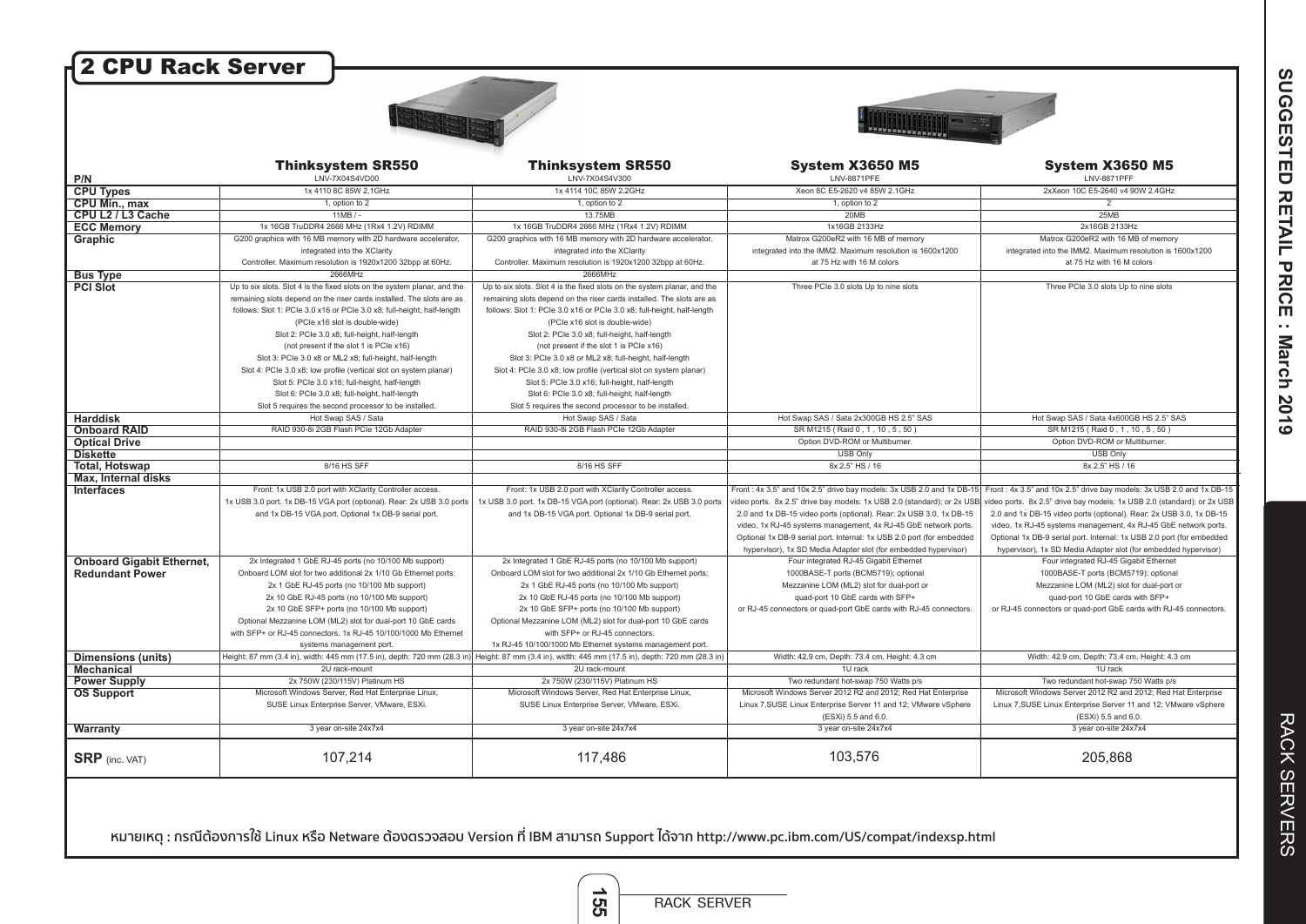

**หมายเหตุ : กรณีต้องการใช้ Linux หรือ Netware ต้องตรวจสอบ Version ที่ IBM สามารถ Support ได้จาก http://www.pc.ibm.com/US/compat/indexsp.html** 

**155**

RACK SERVERS RACK SERVERS